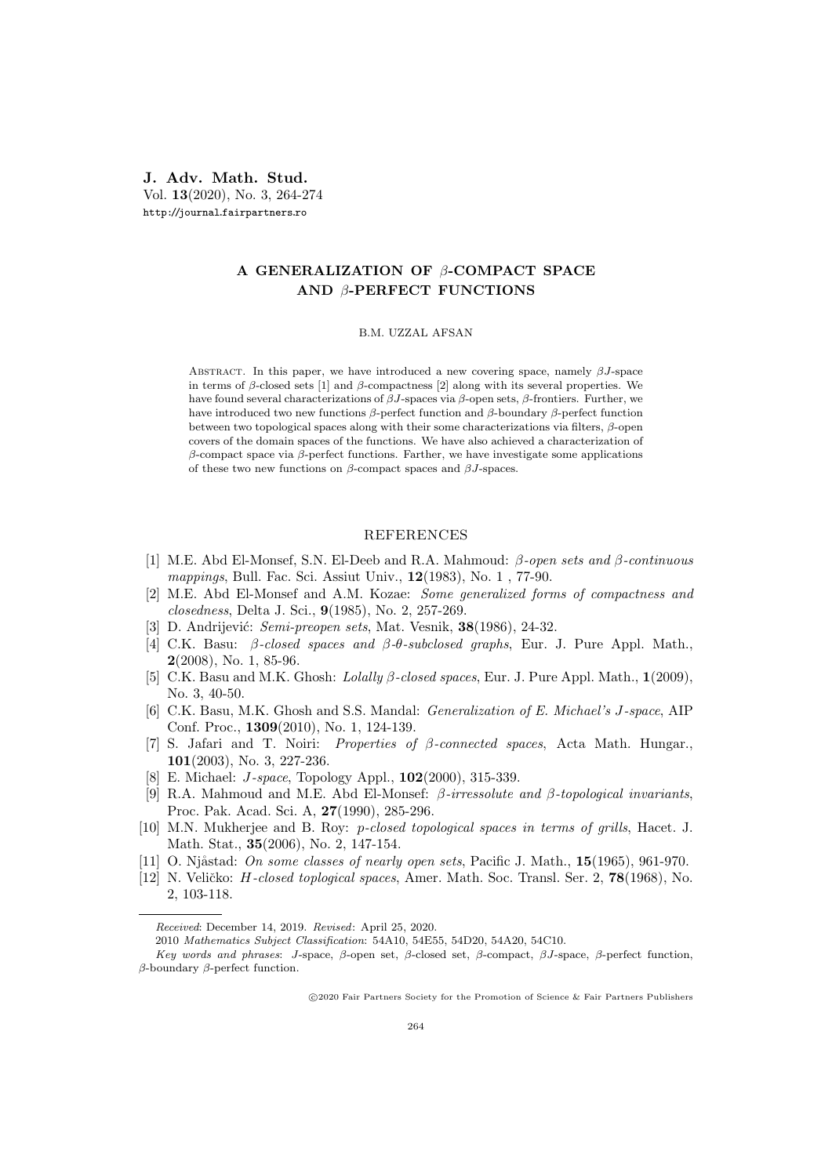J. Adv. Math. Stud. Vol. 13(2020), No. 3, 264-274 http://journal.fairpartners.ro

## A GENERALIZATION OF  $\beta$ -COMPACT SPACE AND β-PERFECT FUNCTIONS

## B.M. UZZAL AFSAN

ABSTRACT. In this paper, we have introduced a new covering space, namely  $\beta J$ -space in terms of  $\beta$ -closed sets [1] and  $\beta$ -compactness [2] along with its several properties. We have found several characterizations of  $βJ$ -spaces via  $β$ -open sets,  $β$ -frontiers. Further, we have introduced two new functions β-perfect function and β-boundary β-perfect function between two topological spaces along with their some characterizations via filters,  $\beta$ -open covers of the domain spaces of the functions. We have also achieved a characterization of β-compact space via β-perfect functions. Farther, we have investigate some applications of these two new functions on  $\beta$ -compact spaces and  $\beta J$ -spaces.

## REFERENCES

- [1] M.E. Abd El-Monsef, S.N. El-Deeb and R.A. Mahmoud: β-open sets and β-continuous mappings, Bull. Fac. Sci. Assiut Univ., **12**(1983), No. 1, 77-90.
- [2] M.E. Abd El-Monsef and A.M. Kozae: Some generalized forms of compactness and closedness, Delta J. Sci., 9(1985), No. 2, 257-269.
- [3] D. Andrijević: *Semi-preopen sets*, Mat. Vesnik, **38**(1986), 24-32.
- [4] C.K. Basu: β-closed spaces and β-θ-subclosed graphs, Eur. J. Pure Appl. Math., 2(2008), No. 1, 85-96.
- [5] C.K. Basu and M.K. Ghosh: Lolally β-closed spaces, Eur. J. Pure Appl. Math., 1(2009), No. 3, 40-50.
- [6] C.K. Basu, M.K. Ghosh and S.S. Mandal: Generalization of E. Michael's J-space, AIP Conf. Proc., 1309(2010), No. 1, 124-139.
- [7] S. Jafari and T. Noiri: Properties of β-connected spaces, Acta Math. Hungar., 101(2003), No. 3, 227-236.
- [8] E. Michael: *J-space*, Topology Appl., **102**(2000), 315-339.
- [9] R.A. Mahmoud and M.E. Abd El-Monsef: β-irressolute and β-topological invariants, Proc. Pak. Acad. Sci. A, 27(1990), 285-296.
- [10] M.N. Mukherjee and B. Roy: p-closed topological spaces in terms of grills, Hacet. J. Math. Stat., 35(2006), No. 2, 147-154.
- [11] O. Njåstad: On some classes of nearly open sets, Pacific J. Math.,  $15(1965)$ , 961-970.
- [12] N. Veličko: *H-closed toplogical spaces*, Amer. Math. Soc. Transl. Ser. 2, **78**(1968), No. 2, 103-118.

Received: December 14, 2019. Revised: April 25, 2020.

<sup>2010</sup> Mathematics Subject Classification: 54A10, 54E55, 54D20, 54A20, 54C10.

Key words and phrases: J-space, β-open set, β-closed set, β-compact, βJ-space, β-perfect function, β-boundary β-perfect function.

c 2020 Fair Partners Society for the Promotion of Science & Fair Partners Publishers